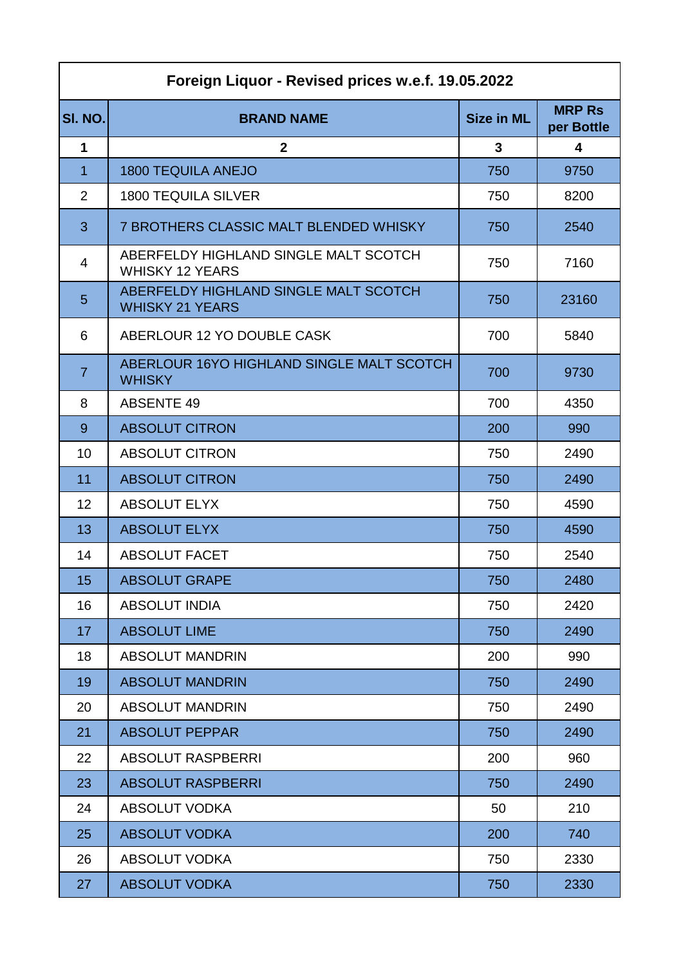| Foreign Liquor - Revised prices w.e.f. 19.05.2022 |                                                                 |                   |                             |
|---------------------------------------------------|-----------------------------------------------------------------|-------------------|-----------------------------|
| SI. NO.                                           | <b>BRAND NAME</b>                                               | <b>Size in ML</b> | <b>MRP Rs</b><br>per Bottle |
| 1                                                 | $\mathbf{2}$                                                    | 3                 | 4                           |
| $\mathbf{1}$                                      | <b>1800 TEQUILA ANEJO</b>                                       | 750               | 9750                        |
| $\overline{2}$                                    | <b>1800 TEQUILA SILVER</b>                                      | 750               | 8200                        |
| 3                                                 | <b>7 BROTHERS CLASSIC MALT BLENDED WHISKY</b>                   | 750               | 2540                        |
| 4                                                 | ABERFELDY HIGHLAND SINGLE MALT SCOTCH<br><b>WHISKY 12 YEARS</b> | 750               | 7160                        |
| 5                                                 | ABERFELDY HIGHLAND SINGLE MALT SCOTCH<br><b>WHISKY 21 YEARS</b> | 750               | 23160                       |
| 6                                                 | ABERLOUR 12 YO DOUBLE CASK                                      | 700               | 5840                        |
| $\overline{7}$                                    | ABERLOUR 16YO HIGHLAND SINGLE MALT SCOTCH<br><b>WHISKY</b>      | 700               | 9730                        |
| 8                                                 | <b>ABSENTE 49</b>                                               | 700               | 4350                        |
| 9                                                 | <b>ABSOLUT CITRON</b>                                           | 200               | 990                         |
| 10                                                | <b>ABSOLUT CITRON</b>                                           | 750               | 2490                        |
| 11                                                | <b>ABSOLUT CITRON</b>                                           | 750               | 2490                        |
| 12                                                | <b>ABSOLUT ELYX</b>                                             | 750               | 4590                        |
| 13                                                | <b>ABSOLUT ELYX</b>                                             | 750               | 4590                        |
| 14                                                | <b>ABSOLUT FACET</b>                                            | 750               | 2540                        |
| 15                                                | <b>ABSOLUT GRAPE</b>                                            | 750               | 2480                        |
| 16                                                | <b>ABSOLUT INDIA</b>                                            | 750               | 2420                        |
| 17                                                | <b>ABSOLUT LIME</b>                                             | 750               | 2490                        |
| 18                                                | <b>ABSOLUT MANDRIN</b>                                          | 200               | 990                         |
| 19                                                | <b>ABSOLUT MANDRIN</b>                                          | 750               | 2490                        |
| 20                                                | <b>ABSOLUT MANDRIN</b>                                          | 750               | 2490                        |
| 21                                                | <b>ABSOLUT PEPPAR</b>                                           | 750               | 2490                        |
| 22                                                | <b>ABSOLUT RASPBERRI</b>                                        | 200               | 960                         |
| 23                                                | <b>ABSOLUT RASPBERRI</b>                                        | 750               | 2490                        |
| 24                                                | <b>ABSOLUT VODKA</b>                                            | 50                | 210                         |
| 25                                                | <b>ABSOLUT VODKA</b>                                            | 200               | 740                         |
| 26                                                | <b>ABSOLUT VODKA</b>                                            | 750               | 2330                        |
| 27                                                | <b>ABSOLUT VODKA</b>                                            | 750               | 2330                        |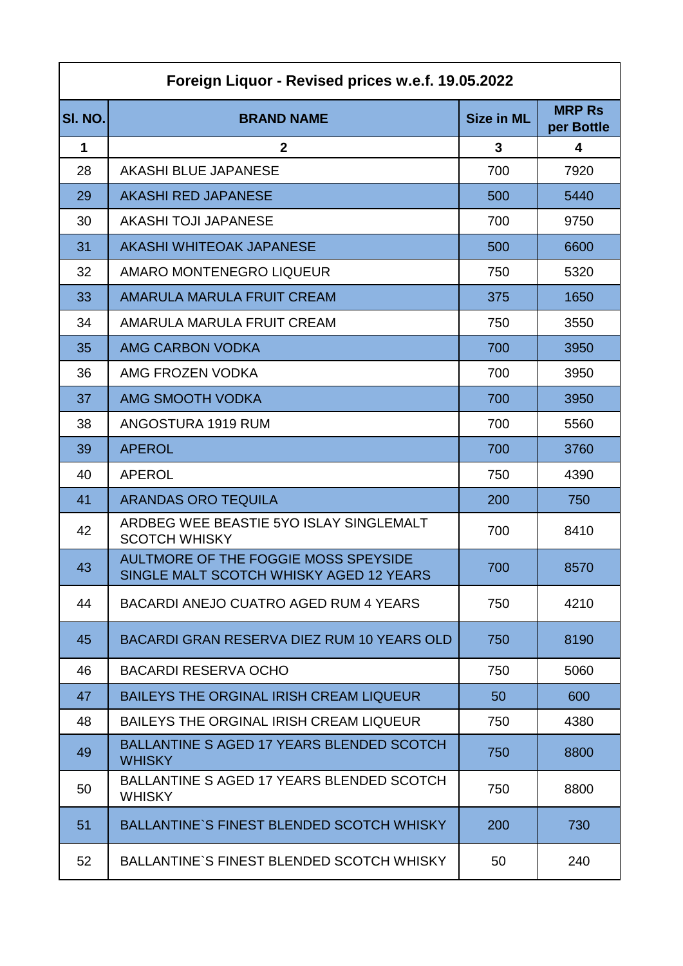| Foreign Liquor - Revised prices w.e.f. 19.05.2022 |                                                                                 |                   |                             |
|---------------------------------------------------|---------------------------------------------------------------------------------|-------------------|-----------------------------|
| SI. NO.                                           | <b>BRAND NAME</b>                                                               | <b>Size in ML</b> | <b>MRP Rs</b><br>per Bottle |
| $\mathbf 1$                                       | $\mathbf{2}$                                                                    | $\mathbf{3}$      | 4                           |
| 28                                                | <b>AKASHI BLUE JAPANESE</b>                                                     | 700               | 7920                        |
| 29                                                | <b>AKASHI RED JAPANESE</b>                                                      | 500               | 5440                        |
| 30                                                | <b>AKASHI TOJI JAPANESE</b>                                                     | 700               | 9750                        |
| 31                                                | AKASHI WHITEOAK JAPANESE                                                        | 500               | 6600                        |
| 32                                                | AMARO MONTENEGRO LIQUEUR                                                        | 750               | 5320                        |
| 33                                                | AMARULA MARULA FRUIT CREAM                                                      | 375               | 1650                        |
| 34                                                | AMARULA MARULA FRUIT CREAM                                                      | 750               | 3550                        |
| 35                                                | <b>AMG CARBON VODKA</b>                                                         | 700               | 3950                        |
| 36                                                | AMG FROZEN VODKA                                                                | 700               | 3950                        |
| 37                                                | AMG SMOOTH VODKA                                                                | 700               | 3950                        |
| 38                                                | ANGOSTURA 1919 RUM                                                              | 700               | 5560                        |
| 39                                                | <b>APEROL</b>                                                                   | 700               | 3760                        |
| 40                                                | <b>APEROL</b>                                                                   | 750               | 4390                        |
| 41                                                | <b>ARANDAS ORO TEQUILA</b>                                                      | 200               | 750                         |
| 42                                                | ARDBEG WEE BEASTIE 5YO ISLAY SINGLEMALT<br><b>SCOTCH WHISKY</b>                 | 700               | 8410                        |
| 43                                                | AULTMORE OF THE FOGGIE MOSS SPEYSIDE<br>SINGLE MALT SCOTCH WHISKY AGED 12 YEARS | 700               | 8570                        |
| 44                                                | BACARDI ANEJO CUATRO AGED RUM 4 YEARS                                           | 750               | 4210                        |
| 45                                                | BACARDI GRAN RESERVA DIEZ RUM 10 YEARS OLD                                      | 750               | 8190                        |
| 46                                                | <b>BACARDI RESERVA OCHO</b>                                                     | 750               | 5060                        |
| 47                                                | <b>BAILEYS THE ORGINAL IRISH CREAM LIQUEUR</b>                                  | 50                | 600                         |
| 48                                                | BAILEYS THE ORGINAL IRISH CREAM LIQUEUR                                         | 750               | 4380                        |
| 49                                                | <b>BALLANTINE S AGED 17 YEARS BLENDED SCOTCH</b><br><b>WHISKY</b>               | 750               | 8800                        |
| 50                                                | BALLANTINE S AGED 17 YEARS BLENDED SCOTCH<br><b>WHISKY</b>                      | 750               | 8800                        |
| 51                                                | <b>BALLANTINE'S FINEST BLENDED SCOTCH WHISKY</b>                                | 200               | 730                         |
| 52                                                | <b>BALLANTINE'S FINEST BLENDED SCOTCH WHISKY</b>                                | 50                | 240                         |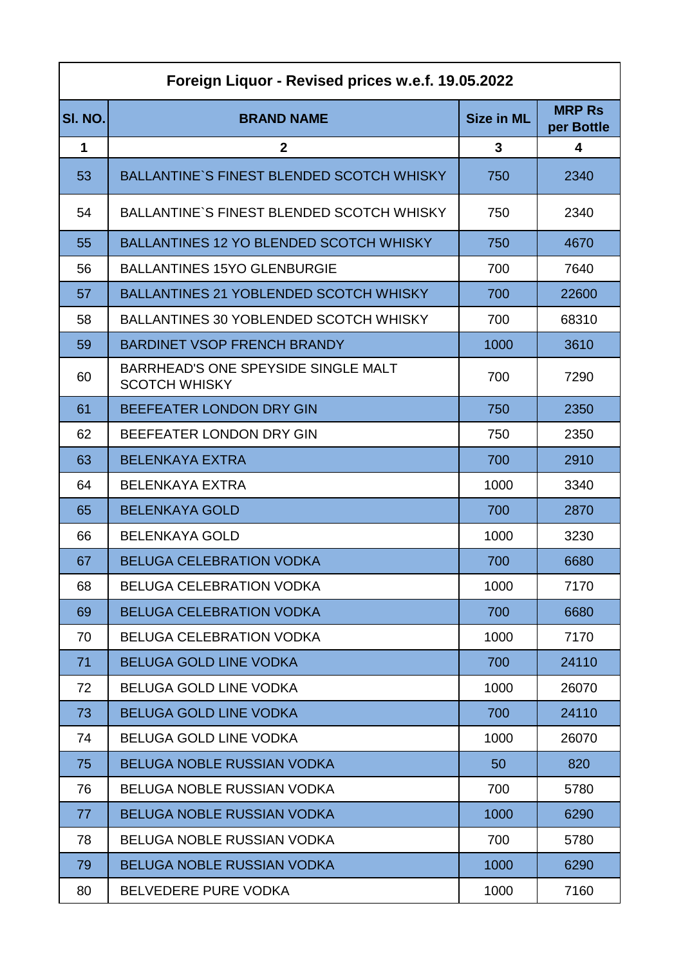| Foreign Liquor - Revised prices w.e.f. 19.05.2022 |                                                             |                   |                             |
|---------------------------------------------------|-------------------------------------------------------------|-------------------|-----------------------------|
| SI. NO.                                           | <b>BRAND NAME</b>                                           | <b>Size in ML</b> | <b>MRP Rs</b><br>per Bottle |
| 1                                                 | $\mathbf{2}$                                                | 3                 | 4                           |
| 53                                                | <b>BALLANTINE'S FINEST BLENDED SCOTCH WHISKY</b>            | 750               | 2340                        |
| 54                                                | <b>BALLANTINE'S FINEST BLENDED SCOTCH WHISKY</b>            | 750               | 2340                        |
| 55                                                | <b>BALLANTINES 12 YO BLENDED SCOTCH WHISKY</b>              | 750               | 4670                        |
| 56                                                | <b>BALLANTINES 15YO GLENBURGIE</b>                          | 700               | 7640                        |
| 57                                                | <b>BALLANTINES 21 YOBLENDED SCOTCH WHISKY</b>               | 700               | 22600                       |
| 58                                                | BALLANTINES 30 YOBLENDED SCOTCH WHISKY                      | 700               | 68310                       |
| 59                                                | <b>BARDINET VSOP FRENCH BRANDY</b>                          | 1000              | 3610                        |
| 60                                                | BARRHEAD'S ONE SPEYSIDE SINGLE MALT<br><b>SCOTCH WHISKY</b> | 700               | 7290                        |
| 61                                                | BEEFEATER LONDON DRY GIN                                    | 750               | 2350                        |
| 62                                                | BEEFEATER LONDON DRY GIN                                    | 750               | 2350                        |
| 63                                                | <b>BELENKAYA EXTRA</b>                                      | 700               | 2910                        |
| 64                                                | <b>BELENKAYA EXTRA</b>                                      | 1000              | 3340                        |
| 65                                                | <b>BELENKAYA GOLD</b>                                       | 700               | 2870                        |
| 66                                                | <b>BELENKAYA GOLD</b>                                       | 1000              | 3230                        |
| 67                                                | <b>BELUGA CELEBRATION VODKA</b>                             | 700               | 6680                        |
| 68                                                | <b>BELUGA CELEBRATION VODKA</b>                             | 1000              | 7170                        |
| 69                                                | <b>BELUGA CELEBRATION VODKA</b>                             | 700               | 6680                        |
| 70                                                | <b>BELUGA CELEBRATION VODKA</b>                             | 1000              | 7170                        |
| 71                                                | <b>BELUGA GOLD LINE VODKA</b>                               | 700               | 24110                       |
| 72                                                | <b>BELUGA GOLD LINE VODKA</b>                               | 1000              | 26070                       |
| 73                                                | <b>BELUGA GOLD LINE VODKA</b>                               | 700               | 24110                       |
| 74                                                | <b>BELUGA GOLD LINE VODKA</b>                               | 1000              | 26070                       |
| 75                                                | <b>BELUGA NOBLE RUSSIAN VODKA</b>                           | 50                | 820                         |
| 76                                                | <b>BELUGA NOBLE RUSSIAN VODKA</b>                           | 700               | 5780                        |
| 77                                                | <b>BELUGA NOBLE RUSSIAN VODKA</b>                           | 1000              | 6290                        |
| 78                                                | BELUGA NOBLE RUSSIAN VODKA                                  | 700               | 5780                        |
| 79                                                | <b>BELUGA NOBLE RUSSIAN VODKA</b>                           | 1000              | 6290                        |
| 80                                                | BELVEDERE PURE VODKA                                        | 1000              | 7160                        |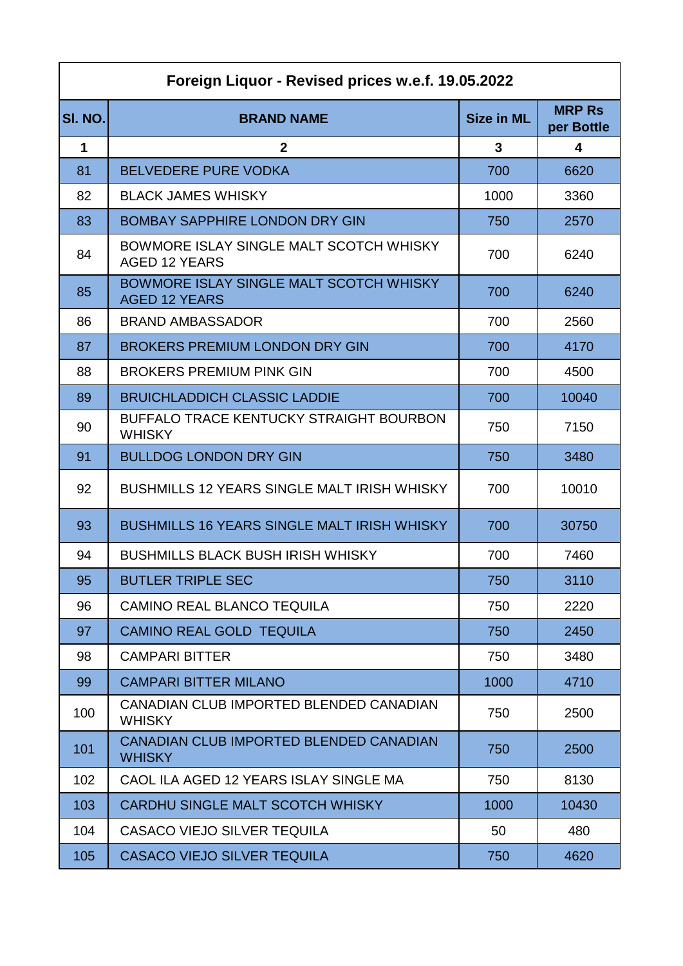| Foreign Liquor - Revised prices w.e.f. 19.05.2022 |                                                                 |                   |                             |
|---------------------------------------------------|-----------------------------------------------------------------|-------------------|-----------------------------|
| SI. NO.                                           | <b>BRAND NAME</b>                                               | <b>Size in ML</b> | <b>MRP Rs</b><br>per Bottle |
| 1                                                 | $\mathbf{2}$                                                    | 3                 | 4                           |
| 81                                                | <b>BELVEDERE PURE VODKA</b>                                     | 700               | 6620                        |
| 82                                                | <b>BLACK JAMES WHISKY</b>                                       | 1000              | 3360                        |
| 83                                                | <b>BOMBAY SAPPHIRE LONDON DRY GIN</b>                           | 750               | 2570                        |
| 84                                                | BOWMORE ISLAY SINGLE MALT SCOTCH WHISKY<br><b>AGED 12 YEARS</b> | 700               | 6240                        |
| 85                                                | BOWMORE ISLAY SINGLE MALT SCOTCH WHISKY<br><b>AGED 12 YEARS</b> | 700               | 6240                        |
| 86                                                | <b>BRAND AMBASSADOR</b>                                         | 700               | 2560                        |
| 87                                                | <b>BROKERS PREMIUM LONDON DRY GIN</b>                           | 700               | 4170                        |
| 88                                                | <b>BROKERS PREMIUM PINK GIN</b>                                 | 700               | 4500                        |
| 89                                                | <b>BRUICHLADDICH CLASSIC LADDIE</b>                             | 700               | 10040                       |
| 90                                                | <b>BUFFALO TRACE KENTUCKY STRAIGHT BOURBON</b><br><b>WHISKY</b> | 750               | 7150                        |
| 91                                                | <b>BULLDOG LONDON DRY GIN</b>                                   | 750               | 3480                        |
| 92                                                | <b>BUSHMILLS 12 YEARS SINGLE MALT IRISH WHISKY</b>              | 700               | 10010                       |
| 93                                                | <b>BUSHMILLS 16 YEARS SINGLE MALT IRISH WHISKY</b>              | 700               | 30750                       |
| 94                                                | <b>BUSHMILLS BLACK BUSH IRISH WHISKY</b>                        | 700               | 7460                        |
| 95                                                | <b>BUTLER TRIPLE SEC</b>                                        | 750               | 3110                        |
| 96                                                | <b>CAMINO REAL BLANCO TEQUILA</b>                               | 750               | 2220                        |
| 97                                                | <b>CAMINO REAL GOLD TEQUILA</b>                                 | 750               | 2450                        |
| 98                                                | <b>CAMPARI BITTER</b>                                           | 750               | 3480                        |
| 99                                                | <b>CAMPARI BITTER MILANO</b>                                    | 1000              | 4710                        |
| 100                                               | CANADIAN CLUB IMPORTED BLENDED CANADIAN<br><b>WHISKY</b>        | 750               | 2500                        |
| 101                                               | CANADIAN CLUB IMPORTED BLENDED CANADIAN<br><b>WHISKY</b>        | 750               | 2500                        |
| 102                                               | CAOL ILA AGED 12 YEARS ISLAY SINGLE MA                          | 750               | 8130                        |
| 103                                               | CARDHU SINGLE MALT SCOTCH WHISKY                                | 1000              | 10430                       |
| 104                                               | CASACO VIEJO SILVER TEQUILA                                     | 50                | 480                         |
| 105                                               | <b>CASACO VIEJO SILVER TEQUILA</b>                              | 750               | 4620                        |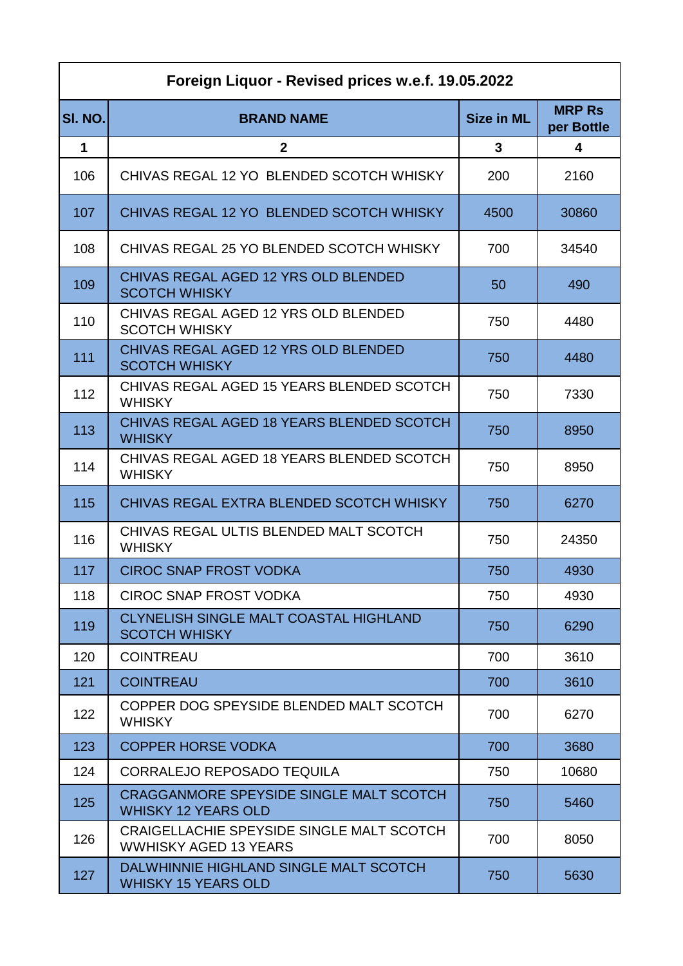| Foreign Liquor - Revised prices w.e.f. 19.05.2022 |                                                                              |                   |                             |
|---------------------------------------------------|------------------------------------------------------------------------------|-------------------|-----------------------------|
| SI. NO.                                           | <b>BRAND NAME</b>                                                            | <b>Size in ML</b> | <b>MRP Rs</b><br>per Bottle |
| $\mathbf 1$                                       | $\mathbf{2}$                                                                 | 3                 | $\overline{\mathbf{4}}$     |
| 106                                               | CHIVAS REGAL 12 YO BLENDED SCOTCH WHISKY                                     | 200               | 2160                        |
| 107                                               | CHIVAS REGAL 12 YO BLENDED SCOTCH WHISKY                                     | 4500              | 30860                       |
| 108                                               | CHIVAS REGAL 25 YO BLENDED SCOTCH WHISKY                                     | 700               | 34540                       |
| 109                                               | CHIVAS REGAL AGED 12 YRS OLD BLENDED<br><b>SCOTCH WHISKY</b>                 | 50                | 490                         |
| 110                                               | CHIVAS REGAL AGED 12 YRS OLD BLENDED<br><b>SCOTCH WHISKY</b>                 | 750               | 4480                        |
| 111                                               | CHIVAS REGAL AGED 12 YRS OLD BLENDED<br><b>SCOTCH WHISKY</b>                 | 750               | 4480                        |
| 112                                               | CHIVAS REGAL AGED 15 YEARS BLENDED SCOTCH<br><b>WHISKY</b>                   | 750               | 7330                        |
| 113                                               | CHIVAS REGAL AGED 18 YEARS BLENDED SCOTCH<br><b>WHISKY</b>                   | 750               | 8950                        |
| 114                                               | CHIVAS REGAL AGED 18 YEARS BLENDED SCOTCH<br><b>WHISKY</b>                   | 750               | 8950                        |
| 115                                               | CHIVAS REGAL EXTRA BLENDED SCOTCH WHISKY                                     | 750               | 6270                        |
| 116                                               | CHIVAS REGAL ULTIS BLENDED MALT SCOTCH<br><b>WHISKY</b>                      | 750               | 24350                       |
| 117                                               | <b>CIROC SNAP FROST VODKA</b>                                                | 750               | 4930                        |
| 118                                               | <b>CIROC SNAP FROST VODKA</b>                                                | 750               | 4930                        |
| 119                                               | CLYNELISH SINGLE MALT COASTAL HIGHLAND<br><b>SCOTCH WHISKY</b>               | 750               | 6290                        |
| 120                                               | <b>COINTREAU</b>                                                             | 700               | 3610                        |
| 121                                               | <b>COINTREAU</b>                                                             | 700               | 3610                        |
| 122                                               | COPPER DOG SPEYSIDE BLENDED MALT SCOTCH<br><b>WHISKY</b>                     | 700               | 6270                        |
| 123                                               | <b>COPPER HORSE VODKA</b>                                                    | 700               | 3680                        |
| 124                                               | <b>CORRALEJO REPOSADO TEQUILA</b>                                            | 750               | 10680                       |
| 125                                               | <b>CRAGGANMORE SPEYSIDE SINGLE MALT SCOTCH</b><br><b>WHISKY 12 YEARS OLD</b> | 750               | 5460                        |
| 126                                               | CRAIGELLACHIE SPEYSIDE SINGLE MALT SCOTCH<br><b>WWHISKY AGED 13 YEARS</b>    | 700               | 8050                        |
| 127                                               | DALWHINNIE HIGHLAND SINGLE MALT SCOTCH<br><b>WHISKY 15 YEARS OLD</b>         | 750               | 5630                        |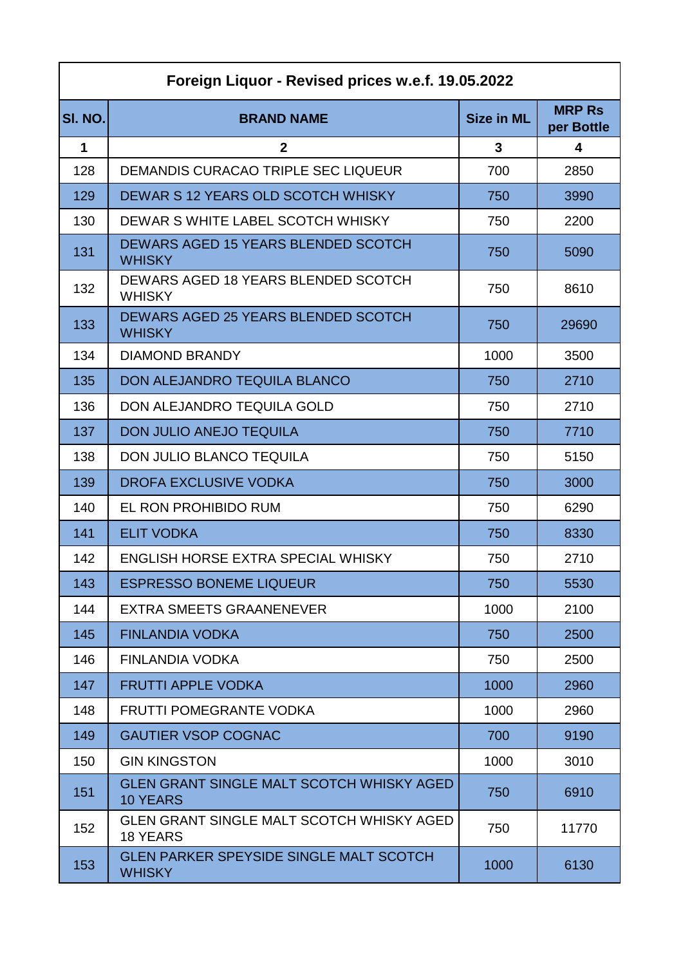| Foreign Liquor - Revised prices w.e.f. 19.05.2022 |                                                                     |                   |                             |
|---------------------------------------------------|---------------------------------------------------------------------|-------------------|-----------------------------|
| SI. NO.                                           | <b>BRAND NAME</b>                                                   | <b>Size in ML</b> | <b>MRP Rs</b><br>per Bottle |
| 1                                                 | $\mathbf{2}$                                                        | 3                 | 4                           |
| 128                                               | DEMANDIS CURACAO TRIPLE SEC LIQUEUR                                 | 700               | 2850                        |
| 129                                               | DEWAR S 12 YEARS OLD SCOTCH WHISKY                                  | 750               | 3990                        |
| 130                                               | DEWAR S WHITE LABEL SCOTCH WHISKY                                   | 750               | 2200                        |
| 131                                               | DEWARS AGED 15 YEARS BLENDED SCOTCH<br><b>WHISKY</b>                | 750               | 5090                        |
| 132                                               | DEWARS AGED 18 YEARS BLENDED SCOTCH<br><b>WHISKY</b>                | 750               | 8610                        |
| 133                                               | DEWARS AGED 25 YEARS BLENDED SCOTCH<br><b>WHISKY</b>                | 750               | 29690                       |
| 134                                               | <b>DIAMOND BRANDY</b>                                               | 1000              | 3500                        |
| 135                                               | <b>DON ALEJANDRO TEQUILA BLANCO</b>                                 | 750               | 2710                        |
| 136                                               | DON ALEJANDRO TEQUILA GOLD                                          | 750               | 2710                        |
| 137                                               | <b>DON JULIO ANEJO TEQUILA</b>                                      | 750               | 7710                        |
| 138                                               | <b>DON JULIO BLANCO TEQUILA</b>                                     | 750               | 5150                        |
| 139                                               | <b>DROFA EXCLUSIVE VODKA</b>                                        | 750               | 3000                        |
| 140                                               | EL RON PROHIBIDO RUM                                                | 750               | 6290                        |
| 141                                               | <b>ELIT VODKA</b>                                                   | 750               | 8330                        |
| 142                                               | ENGLISH HORSE EXTRA SPECIAL WHISKY                                  | 750               | 2710                        |
| 143                                               | ESPRESSO BONEME LIQUEUR                                             | 750               | 5530                        |
| 144                                               | <b>EXTRA SMEETS GRAANENEVER</b>                                     | 1000              | 2100                        |
| 145                                               | <b>FINLANDIA VODKA</b>                                              | 750               | 2500                        |
| 146                                               | <b>FINLANDIA VODKA</b>                                              | 750               | 2500                        |
| 147                                               | <b>FRUTTI APPLE VODKA</b>                                           | 1000              | 2960                        |
| 148                                               | <b>FRUTTI POMEGRANTE VODKA</b>                                      | 1000              | 2960                        |
| 149                                               | <b>GAUTIER VSOP COGNAC</b>                                          | 700               | 9190                        |
| 150                                               | <b>GIN KINGSTON</b>                                                 | 1000              | 3010                        |
| 151                                               | <b>GLEN GRANT SINGLE MALT SCOTCH WHISKY AGED</b><br><b>10 YEARS</b> | 750               | 6910                        |
| 152                                               | <b>GLEN GRANT SINGLE MALT SCOTCH WHISKY AGED</b><br><b>18 YEARS</b> | 750               | 11770                       |
| 153                                               | <b>GLEN PARKER SPEYSIDE SINGLE MALT SCOTCH</b><br><b>WHISKY</b>     | 1000              | 6130                        |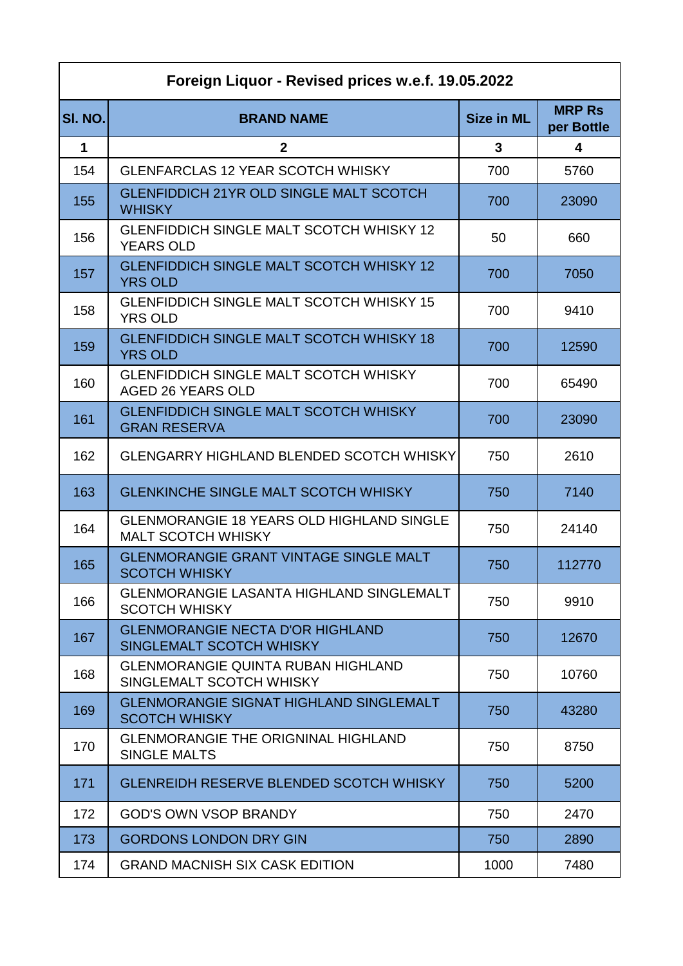| Foreign Liquor - Revised prices w.e.f. 19.05.2022 |                                                                               |                   |                             |
|---------------------------------------------------|-------------------------------------------------------------------------------|-------------------|-----------------------------|
| SI. NO.                                           | <b>BRAND NAME</b>                                                             | <b>Size in ML</b> | <b>MRP Rs</b><br>per Bottle |
| 1                                                 | $\mathbf{2}$                                                                  | 3                 | 4                           |
| 154                                               | <b>GLENFARCLAS 12 YEAR SCOTCH WHISKY</b>                                      | 700               | 5760                        |
| 155                                               | <b>GLENFIDDICH 21YR OLD SINGLE MALT SCOTCH</b><br><b>WHISKY</b>               | 700               | 23090                       |
| 156                                               | <b>GLENFIDDICH SINGLE MALT SCOTCH WHISKY 12</b><br><b>YEARS OLD</b>           | 50                | 660                         |
| 157                                               | <b>GLENFIDDICH SINGLE MALT SCOTCH WHISKY 12</b><br><b>YRS OLD</b>             | 700               | 7050                        |
| 158                                               | <b>GLENFIDDICH SINGLE MALT SCOTCH WHISKY 15</b><br><b>YRS OLD</b>             | 700               | 9410                        |
| 159                                               | <b>GLENFIDDICH SINGLE MALT SCOTCH WHISKY 18</b><br><b>YRS OLD</b>             | 700               | 12590                       |
| 160                                               | <b>GLENFIDDICH SINGLE MALT SCOTCH WHISKY</b><br><b>AGED 26 YEARS OLD</b>      | 700               | 65490                       |
| 161                                               | <b>GLENFIDDICH SINGLE MALT SCOTCH WHISKY</b><br><b>GRAN RESERVA</b>           | 700               | 23090                       |
| 162                                               | <b>GLENGARRY HIGHLAND BLENDED SCOTCH WHISKY</b>                               | 750               | 2610                        |
| 163                                               | <b>GLENKINCHE SINGLE MALT SCOTCH WHISKY</b>                                   | 750               | 7140                        |
| 164                                               | <b>GLENMORANGIE 18 YEARS OLD HIGHLAND SINGLE</b><br><b>MALT SCOTCH WHISKY</b> | 750               | 24140                       |
| 165                                               | <b>GLENMORANGIE GRANT VINTAGE SINGLE MALT</b><br><b>SCOTCH WHISKY</b>         | 750               | 112770                      |
| 166                                               | <b>GLENMORANGIE LASANTA HIGHLAND SINGLEMALT</b><br><b>SCOTCH WHISKY</b>       | 750               | 9910                        |
| 167                                               | <b>GLENMORANGIE NECTA D'OR HIGHLAND</b><br>SINGLEMALT SCOTCH WHISKY           | 750               | 12670                       |
| 168                                               | <b>GLENMORANGIE QUINTA RUBAN HIGHLAND</b><br>SINGLEMALT SCOTCH WHISKY         | 750               | 10760                       |
| 169                                               | <b>GLENMORANGIE SIGNAT HIGHLAND SINGLEMALT</b><br><b>SCOTCH WHISKY</b>        | 750               | 43280                       |
| 170                                               | <b>GLENMORANGIE THE ORIGNINAL HIGHLAND</b><br><b>SINGLE MALTS</b>             | 750               | 8750                        |
| 171                                               | <b>GLENREIDH RESERVE BLENDED SCOTCH WHISKY</b>                                | 750               | 5200                        |
| 172                                               | <b>GOD'S OWN VSOP BRANDY</b>                                                  | 750               | 2470                        |
| 173                                               | <b>GORDONS LONDON DRY GIN</b>                                                 | 750               | 2890                        |
| 174                                               | <b>GRAND MACNISH SIX CASK EDITION</b>                                         | 1000              | 7480                        |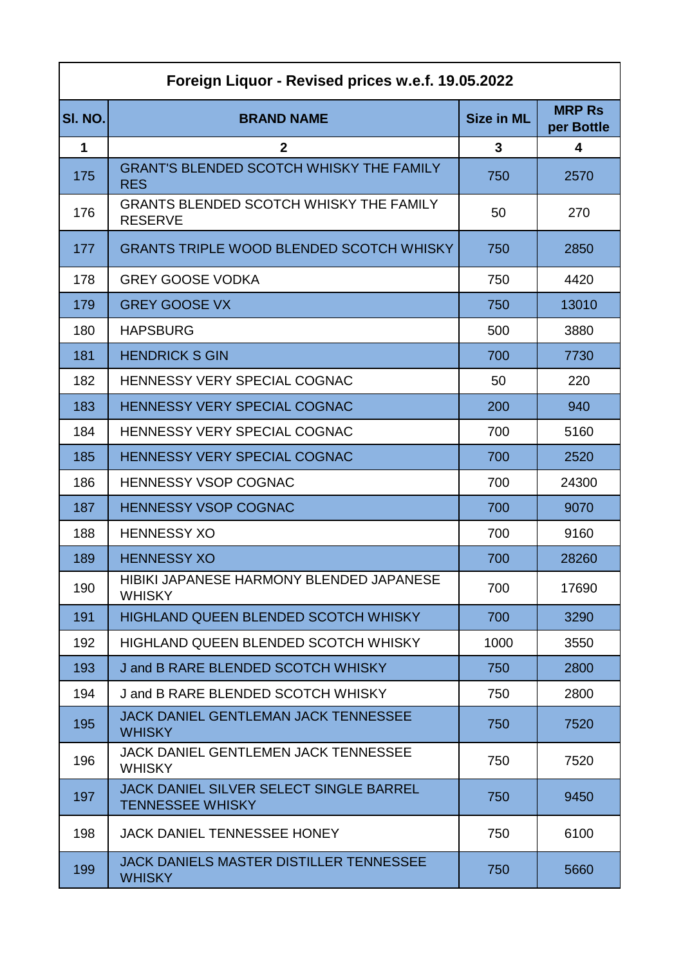| Foreign Liquor - Revised prices w.e.f. 19.05.2022 |                                                                           |                   |                             |
|---------------------------------------------------|---------------------------------------------------------------------------|-------------------|-----------------------------|
| SI. NO.                                           | <b>BRAND NAME</b>                                                         | <b>Size in ML</b> | <b>MRP Rs</b><br>per Bottle |
| 1                                                 | $\mathbf{2}$                                                              | 3                 | 4                           |
| 175                                               | <b>GRANT'S BLENDED SCOTCH WHISKY THE FAMILY</b><br><b>RES</b>             | 750               | 2570                        |
| 176                                               | <b>GRANTS BLENDED SCOTCH WHISKY THE FAMILY</b><br><b>RESERVE</b>          | 50                | 270                         |
| 177                                               | <b>GRANTS TRIPLE WOOD BLENDED SCOTCH WHISKY</b>                           | 750               | 2850                        |
| 178                                               | <b>GREY GOOSE VODKA</b>                                                   | 750               | 4420                        |
| 179                                               | <b>GREY GOOSE VX</b>                                                      | 750               | 13010                       |
| 180                                               | <b>HAPSBURG</b>                                                           | 500               | 3880                        |
| 181                                               | <b>HENDRICK S GIN</b>                                                     | 700               | 7730                        |
| 182                                               | <b>HENNESSY VERY SPECIAL COGNAC</b>                                       | 50                | 220                         |
| 183                                               | <b>HENNESSY VERY SPECIAL COGNAC</b>                                       | 200               | 940                         |
| 184                                               | <b>HENNESSY VERY SPECIAL COGNAC</b>                                       | 700               | 5160                        |
| 185                                               | <b>HENNESSY VERY SPECIAL COGNAC</b>                                       | 700               | 2520                        |
| 186                                               | <b>HENNESSY VSOP COGNAC</b>                                               | 700               | 24300                       |
| 187                                               | <b>HENNESSY VSOP COGNAC</b>                                               | 700               | 9070                        |
| 188                                               | <b>HENNESSY XO</b>                                                        | 700               | 9160                        |
| 189                                               | <b>HENNESSY XO</b>                                                        | 700               | 28260                       |
| 190                                               | HIBIKI JAPANESE HARMONY BLENDED JAPANESE<br><b>WHISKY</b>                 | 700               | 17690                       |
| 191                                               | <b>HIGHLAND QUEEN BLENDED SCOTCH WHISKY</b>                               | 700               | 3290                        |
| 192                                               | <b>HIGHLAND QUEEN BLENDED SCOTCH WHISKY</b>                               | 1000              | 3550                        |
| 193                                               | J and B RARE BLENDED SCOTCH WHISKY                                        | 750               | 2800                        |
| 194                                               | J and B RARE BLENDED SCOTCH WHISKY                                        | 750               | 2800                        |
| 195                                               | <b>JACK DANIEL GENTLEMAN JACK TENNESSEE</b><br><b>WHISKY</b>              | 750               | 7520                        |
| 196                                               | <b>JACK DANIEL GENTLEMEN JACK TENNESSEE</b><br><b>WHISKY</b>              | 750               | 7520                        |
| 197                                               | <b>JACK DANIEL SILVER SELECT SINGLE BARREL</b><br><b>TENNESSEE WHISKY</b> | 750               | 9450                        |
| 198                                               | <b>JACK DANIEL TENNESSEE HONEY</b>                                        | 750               | 6100                        |
| 199                                               | <b>JACK DANIELS MASTER DISTILLER TENNESSEE</b><br><b>WHISKY</b>           | 750               | 5660                        |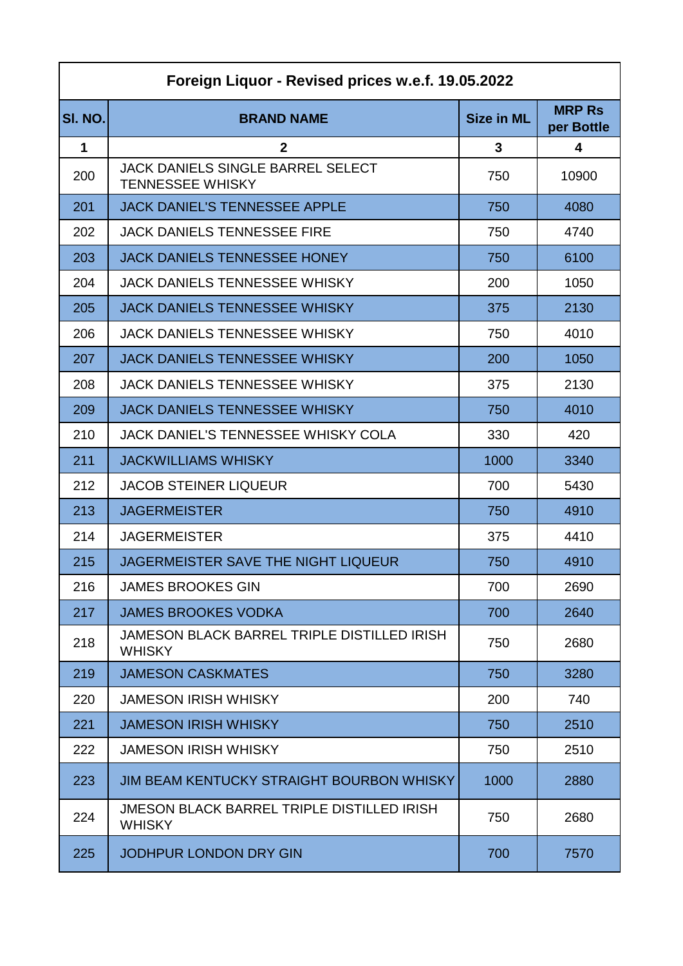| Foreign Liquor - Revised prices w.e.f. 19.05.2022 |                                                                     |                   |                             |
|---------------------------------------------------|---------------------------------------------------------------------|-------------------|-----------------------------|
| SI. NO.                                           | <b>BRAND NAME</b>                                                   | <b>Size in ML</b> | <b>MRP Rs</b><br>per Bottle |
| 1                                                 | $\mathbf{2}$                                                        | 3                 | 4                           |
| 200                                               | <b>JACK DANIELS SINGLE BARREL SELECT</b><br><b>TENNESSEE WHISKY</b> | 750               | 10900                       |
| 201                                               | <b>JACK DANIEL'S TENNESSEE APPLE</b>                                | 750               | 4080                        |
| 202                                               | <b>JACK DANIELS TENNESSEE FIRE</b>                                  | 750               | 4740                        |
| 203                                               | <b>JACK DANIELS TENNESSEE HONEY</b>                                 | 750               | 6100                        |
| 204                                               | <b>JACK DANIELS TENNESSEE WHISKY</b>                                | 200               | 1050                        |
| 205                                               | <b>JACK DANIELS TENNESSEE WHISKY</b>                                | 375               | 2130                        |
| 206                                               | <b>JACK DANIELS TENNESSEE WHISKY</b>                                | 750               | 4010                        |
| 207                                               | <b>JACK DANIELS TENNESSEE WHISKY</b>                                | 200               | 1050                        |
| 208                                               | <b>JACK DANIELS TENNESSEE WHISKY</b>                                | 375               | 2130                        |
| 209                                               | <b>JACK DANIELS TENNESSEE WHISKY</b>                                | 750               | 4010                        |
| 210                                               | JACK DANIEL'S TENNESSEE WHISKY COLA                                 | 330               | 420                         |
| 211                                               | <b>JACKWILLIAMS WHISKY</b>                                          | 1000              | 3340                        |
| 212                                               | <b>JACOB STEINER LIQUEUR</b>                                        | 700               | 5430                        |
| 213                                               | <b>JAGERMEISTER</b>                                                 | 750               | 4910                        |
| 214                                               | <b>JAGERMEISTER</b>                                                 | 375               | 4410                        |
| 215                                               | <b>JAGERMEISTER SAVE THE NIGHT LIQUEUR</b>                          | 750               | 4910                        |
| 216                                               | <b>JAMES BROOKES GIN</b>                                            | 700               | 2690                        |
| 217                                               | <b>JAMES BROOKES VODKA</b>                                          | 700               | 2640                        |
| 218                                               | JAMESON BLACK BARREL TRIPLE DISTILLED IRISH<br><b>WHISKY</b>        | 750               | 2680                        |
| 219                                               | <b>JAMESON CASKMATES</b>                                            | 750               | 3280                        |
| 220                                               | <b>JAMESON IRISH WHISKY</b>                                         | 200               | 740                         |
| 221                                               | <b>JAMESON IRISH WHISKY</b>                                         | 750               | 2510                        |
| 222                                               | <b>JAMESON IRISH WHISKY</b>                                         | 750               | 2510                        |
| 223                                               | <b>JIM BEAM KENTUCKY STRAIGHT BOURBON WHISKY</b>                    | 1000              | 2880                        |
| 224                                               | <b>JMESON BLACK BARREL TRIPLE DISTILLED IRISH</b><br><b>WHISKY</b>  | 750               | 2680                        |
| 225                                               | JODHPUR LONDON DRY GIN                                              | 700               | 7570                        |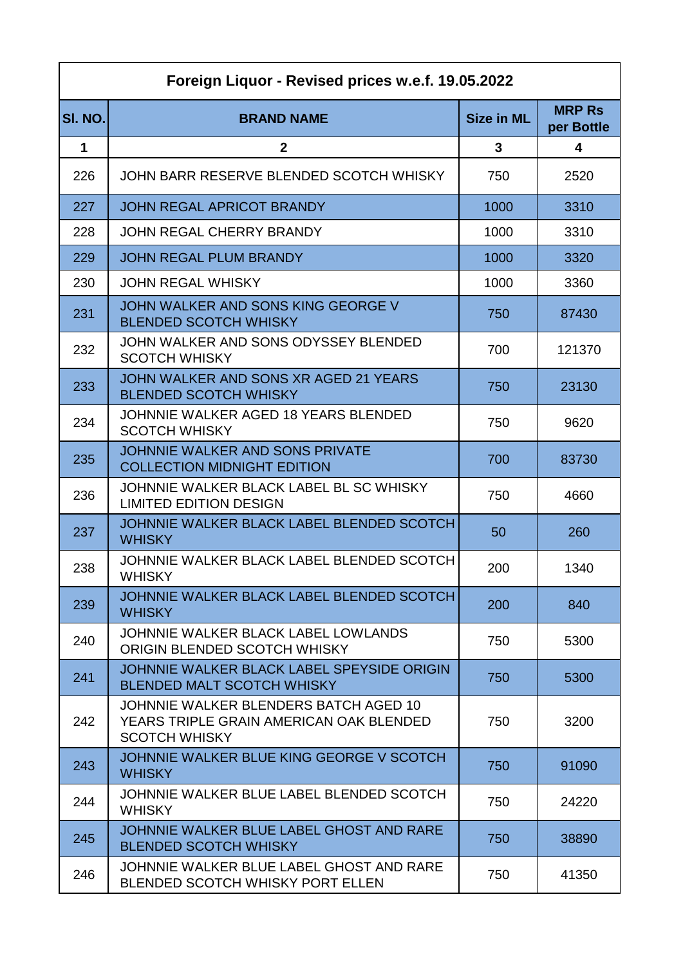| Foreign Liquor - Revised prices w.e.f. 19.05.2022 |                                                                                                          |                   |                             |
|---------------------------------------------------|----------------------------------------------------------------------------------------------------------|-------------------|-----------------------------|
| SI. NO.                                           | <b>BRAND NAME</b>                                                                                        | <b>Size in ML</b> | <b>MRP Rs</b><br>per Bottle |
| 1                                                 | $\mathbf{2}$                                                                                             | 3                 | 4                           |
| 226                                               | JOHN BARR RESERVE BLENDED SCOTCH WHISKY                                                                  | 750               | 2520                        |
| 227                                               | <b>JOHN REGAL APRICOT BRANDY</b>                                                                         | 1000              | 3310                        |
| 228                                               | JOHN REGAL CHERRY BRANDY                                                                                 | 1000              | 3310                        |
| 229                                               | <b>JOHN REGAL PLUM BRANDY</b>                                                                            | 1000              | 3320                        |
| 230                                               | <b>JOHN REGAL WHISKY</b>                                                                                 | 1000              | 3360                        |
| 231                                               | JOHN WALKER AND SONS KING GEORGE V<br><b>BLENDED SCOTCH WHISKY</b>                                       | 750               | 87430                       |
| 232                                               | JOHN WALKER AND SONS ODYSSEY BLENDED<br><b>SCOTCH WHISKY</b>                                             | 700               | 121370                      |
| 233                                               | JOHN WALKER AND SONS XR AGED 21 YEARS<br><b>BLENDED SCOTCH WHISKY</b>                                    | 750               | 23130                       |
| 234                                               | JOHNNIE WALKER AGED 18 YEARS BLENDED<br><b>SCOTCH WHISKY</b>                                             | 750               | 9620                        |
| 235                                               | JOHNNIE WALKER AND SONS PRIVATE<br><b>COLLECTION MIDNIGHT EDITION</b>                                    | 700               | 83730                       |
| 236                                               | JOHNNIE WALKER BLACK LABEL BL SC WHISKY<br><b>LIMITED EDITION DESIGN</b>                                 | 750               | 4660                        |
| 237                                               | JOHNNIE WALKER BLACK LABEL BLENDED SCOTCH<br><b>WHISKY</b>                                               | 50                | 260                         |
| 238                                               | JOHNNIE WALKER BLACK LABEL BLENDED SCOTCH<br><b>WHISKY</b>                                               | 200               | 1340                        |
| 239                                               | JOHNNIE WALKER BLACK LABEL BLENDED SCOTCH<br><b>WHISKY</b>                                               | 200               | 840                         |
| 240                                               | JOHNNIE WALKER BLACK LABEL LOWLANDS<br>ORIGIN BLENDED SCOTCH WHISKY                                      | 750               | 5300                        |
| 241                                               | JOHNNIE WALKER BLACK LABEL SPEYSIDE ORIGIN<br><b>BLENDED MALT SCOTCH WHISKY</b>                          | 750               | 5300                        |
| 242                                               | JOHNNIE WALKER BLENDERS BATCH AGED 10<br>YEARS TRIPLE GRAIN AMERICAN OAK BLENDED<br><b>SCOTCH WHISKY</b> | 750               | 3200                        |
| 243                                               | JOHNNIE WALKER BLUE KING GEORGE V SCOTCH<br><b>WHISKY</b>                                                | 750               | 91090                       |
| 244                                               | JOHNNIE WALKER BLUE LABEL BLENDED SCOTCH<br><b>WHISKY</b>                                                | 750               | 24220                       |
| 245                                               | JOHNNIE WALKER BLUE LABEL GHOST AND RARE<br><b>BLENDED SCOTCH WHISKY</b>                                 | 750               | 38890                       |
| 246                                               | JOHNNIE WALKER BLUE LABEL GHOST AND RARE<br><b>BLENDED SCOTCH WHISKY PORT ELLEN</b>                      | 750               | 41350                       |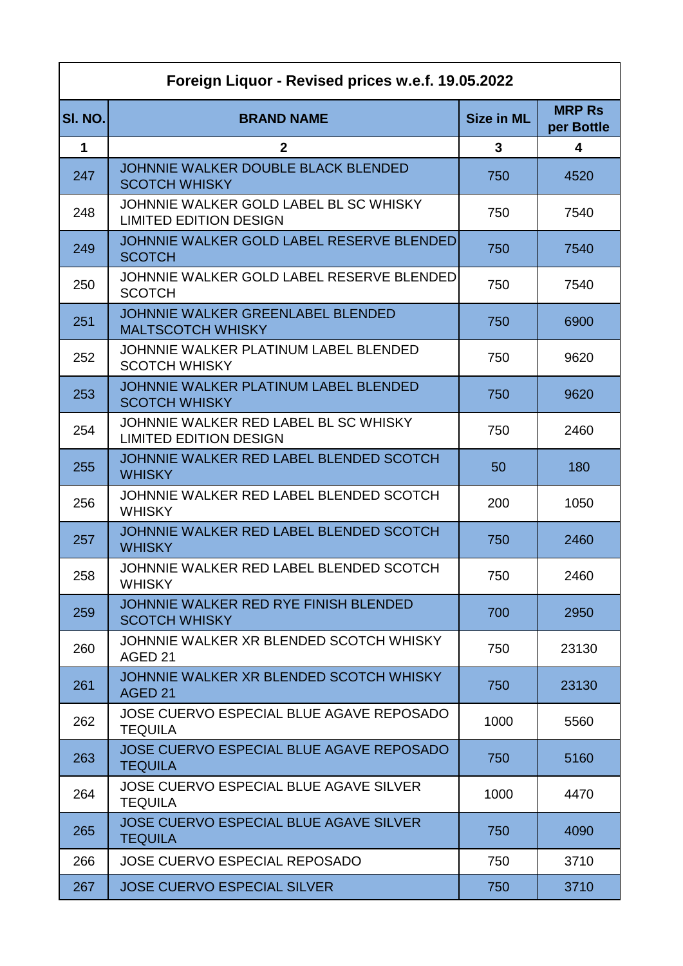| Foreign Liquor - Revised prices w.e.f. 19.05.2022 |                                                                         |                   |                             |
|---------------------------------------------------|-------------------------------------------------------------------------|-------------------|-----------------------------|
| SI. NO.                                           | <b>BRAND NAME</b>                                                       | <b>Size in ML</b> | <b>MRP Rs</b><br>per Bottle |
| $\mathbf 1$                                       | $\mathbf{2}$                                                            | $\mathbf{3}$      | 4                           |
| 247                                               | JOHNNIE WALKER DOUBLE BLACK BLENDED<br><b>SCOTCH WHISKY</b>             | 750               | 4520                        |
| 248                                               | JOHNNIE WALKER GOLD LABEL BL SC WHISKY<br><b>LIMITED EDITION DESIGN</b> | 750               | 7540                        |
| 249                                               | JOHNNIE WALKER GOLD LABEL RESERVE BLENDED<br><b>SCOTCH</b>              | 750               | 7540                        |
| 250                                               | JOHNNIE WALKER GOLD LABEL RESERVE BLENDED<br><b>SCOTCH</b>              | 750               | 7540                        |
| 251                                               | JOHNNIE WALKER GREENLABEL BLENDED<br><b>MALTSCOTCH WHISKY</b>           | 750               | 6900                        |
| 252                                               | JOHNNIE WALKER PLATINUM LABEL BLENDED<br><b>SCOTCH WHISKY</b>           | 750               | 9620                        |
| 253                                               | JOHNNIE WALKER PLATINUM LABEL BLENDED<br><b>SCOTCH WHISKY</b>           | 750               | 9620                        |
| 254                                               | JOHNNIE WALKER RED LABEL BL SC WHISKY<br><b>LIMITED EDITION DESIGN</b>  | 750               | 2460                        |
| 255                                               | JOHNNIE WALKER RED LABEL BLENDED SCOTCH<br><b>WHISKY</b>                | 50                | 180                         |
| 256                                               | JOHNNIE WALKER RED LABEL BLENDED SCOTCH<br><b>WHISKY</b>                | 200               | 1050                        |
| 257                                               | JOHNNIE WALKER RED LABEL BLENDED SCOTCH<br><b>WHISKY</b>                | 750               | 2460                        |
| 258                                               | JOHNNIE WALKER RED LABEL BLENDED SCOTCH<br><b>WHISKY</b>                | 750               | 2460                        |
| 259                                               | JOHNNIE WALKER RED RYE FINISH BLENDED<br><b>SCOTCH WHISKY</b>           | 700               | 2950                        |
| 260                                               | JOHNNIE WALKER XR BLENDED SCOTCH WHISKY<br>AGED 21                      | 750               | 23130                       |
| 261                                               | JOHNNIE WALKER XR BLENDED SCOTCH WHISKY<br>AGED <sub>21</sub>           | 750               | 23130                       |
| 262                                               | JOSE CUERVO ESPECIAL BLUE AGAVE REPOSADO<br><b>TEQUILA</b>              | 1000              | 5560                        |
| 263                                               | JOSE CUERVO ESPECIAL BLUE AGAVE REPOSADO<br><b>TEQUILA</b>              | 750               | 5160                        |
| 264                                               | <b>JOSE CUERVO ESPECIAL BLUE AGAVE SILVER</b><br><b>TEQUILA</b>         | 1000              | 4470                        |
| 265                                               | <b>JOSE CUERVO ESPECIAL BLUE AGAVE SILVER</b><br><b>TEQUILA</b>         | 750               | 4090                        |
| 266                                               | <b>JOSE CUERVO ESPECIAL REPOSADO</b>                                    | 750               | 3710                        |
| 267                                               | <b>JOSE CUERVO ESPECIAL SILVER</b>                                      | 750               | 3710                        |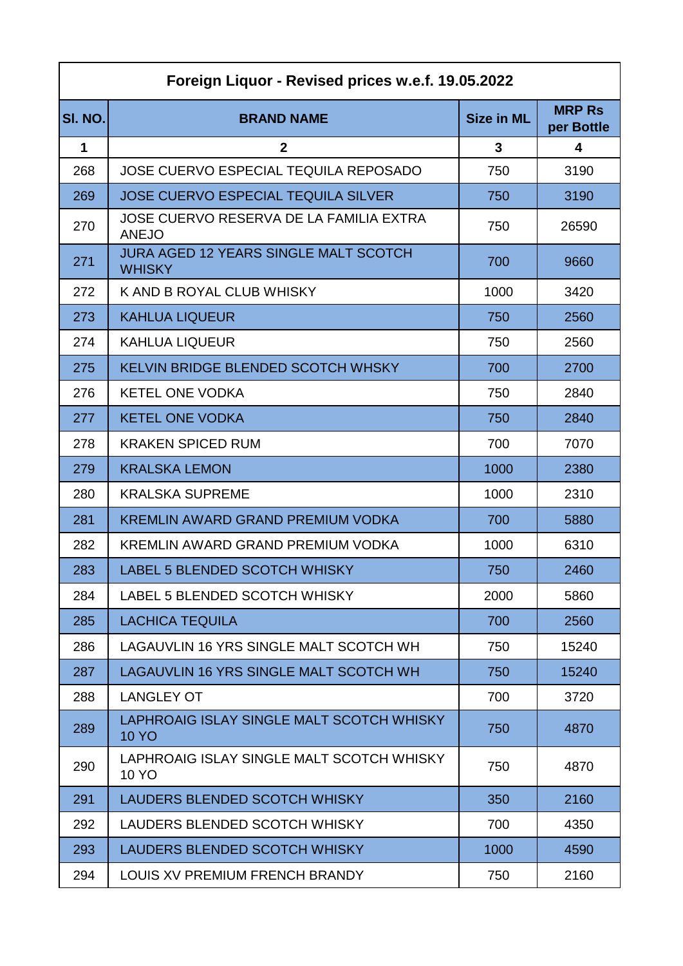| Foreign Liquor - Revised prices w.e.f. 19.05.2022 |                                                               |                   |                             |
|---------------------------------------------------|---------------------------------------------------------------|-------------------|-----------------------------|
| SI. NO.                                           | <b>BRAND NAME</b>                                             | <b>Size in ML</b> | <b>MRP Rs</b><br>per Bottle |
| 1                                                 | $\mathbf{2}$                                                  | 3                 | 4                           |
| 268                                               | <b>JOSE CUERVO ESPECIAL TEQUILA REPOSADO</b>                  | 750               | 3190                        |
| 269                                               | <b>JOSE CUERVO ESPECIAL TEQUILA SILVER</b>                    | 750               | 3190                        |
| 270                                               | JOSE CUERVO RESERVA DE LA FAMILIA EXTRA<br><b>ANEJO</b>       | 750               | 26590                       |
| 271                                               | <b>JURA AGED 12 YEARS SINGLE MALT SCOTCH</b><br><b>WHISKY</b> | 700               | 9660                        |
| 272                                               | K AND B ROYAL CLUB WHISKY                                     | 1000              | 3420                        |
| 273                                               | <b>KAHLUA LIQUEUR</b>                                         | 750               | 2560                        |
| 274                                               | <b>KAHLUA LIQUEUR</b>                                         | 750               | 2560                        |
| 275                                               | KELVIN BRIDGE BLENDED SCOTCH WHSKY                            | 700               | 2700                        |
| 276                                               | <b>KETEL ONE VODKA</b>                                        | 750               | 2840                        |
| 277                                               | <b>KETEL ONE VODKA</b>                                        | 750               | 2840                        |
| 278                                               | <b>KRAKEN SPICED RUM</b>                                      | 700               | 7070                        |
| 279                                               | <b>KRALSKA LEMON</b>                                          | 1000              | 2380                        |
| 280                                               | <b>KRALSKA SUPREME</b>                                        | 1000              | 2310                        |
| 281                                               | <b>KREMLIN AWARD GRAND PREMIUM VODKA</b>                      | 700               | 5880                        |
| 282                                               | KREMLIN AWARD GRAND PREMIUM VODKA                             | 1000              | 6310                        |
| 283                                               | LABEL 5 BLENDED SCOTCH WHISKY                                 | 750               | 2460                        |
| 284                                               | LABEL 5 BLENDED SCOTCH WHISKY                                 | 2000              | 5860                        |
| 285                                               | <b>LACHICA TEQUILA</b>                                        | 700               | 2560                        |
| 286                                               | LAGAUVLIN 16 YRS SINGLE MALT SCOTCH WH                        | 750               | 15240                       |
| 287                                               | LAGAUVLIN 16 YRS SINGLE MALT SCOTCH WH                        | 750               | 15240                       |
| 288                                               | <b>LANGLEY OT</b>                                             | 700               | 3720                        |
| 289                                               | LAPHROAIG ISLAY SINGLE MALT SCOTCH WHISKY<br><b>10 YO</b>     | 750               | 4870                        |
| 290                                               | LAPHROAIG ISLAY SINGLE MALT SCOTCH WHISKY<br>10 YO            | 750               | 4870                        |
| 291                                               | LAUDERS BLENDED SCOTCH WHISKY                                 | 350               | 2160                        |
| 292                                               | LAUDERS BLENDED SCOTCH WHISKY                                 | 700               | 4350                        |
| 293                                               | LAUDERS BLENDED SCOTCH WHISKY                                 | 1000              | 4590                        |
| 294                                               | LOUIS XV PREMIUM FRENCH BRANDY                                | 750               | 2160                        |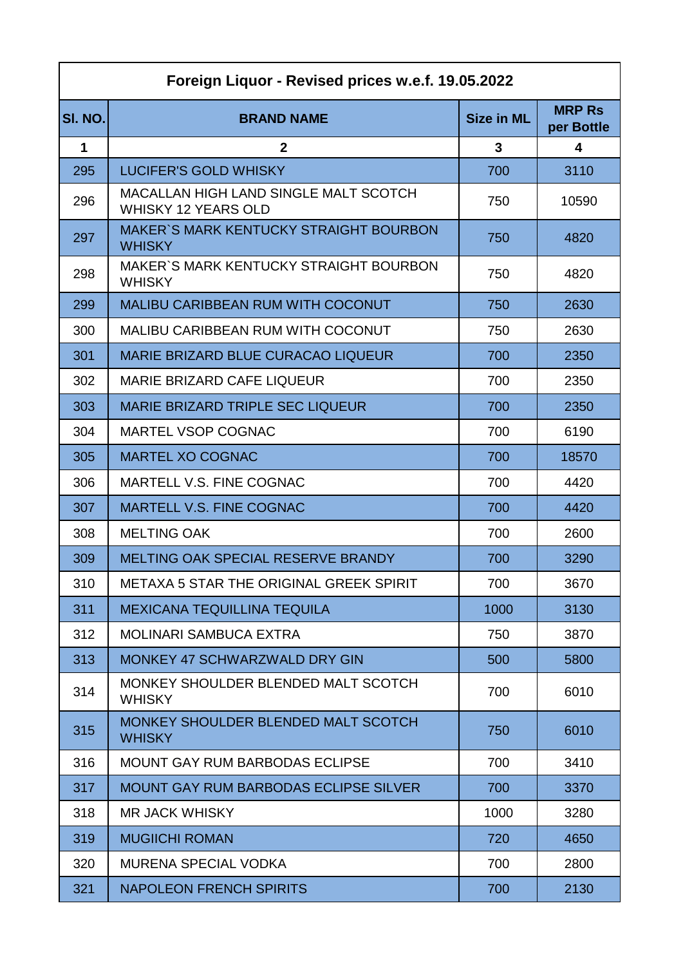| Foreign Liquor - Revised prices w.e.f. 19.05.2022 |                                                                     |                   |                             |
|---------------------------------------------------|---------------------------------------------------------------------|-------------------|-----------------------------|
| SI. NO.                                           | <b>BRAND NAME</b>                                                   | <b>Size in ML</b> | <b>MRP Rs</b><br>per Bottle |
| $\mathbf 1$                                       | $\mathbf{2}$                                                        | 3                 | $\overline{\mathbf{4}}$     |
| 295                                               | <b>LUCIFER'S GOLD WHISKY</b>                                        | 700               | 3110                        |
| 296                                               | MACALLAN HIGH LAND SINGLE MALT SCOTCH<br><b>WHISKY 12 YEARS OLD</b> | 750               | 10590                       |
| 297                                               | <b>MAKER'S MARK KENTUCKY STRAIGHT BOURBON</b><br><b>WHISKY</b>      | 750               | 4820                        |
| 298                                               | MAKER'S MARK KENTUCKY STRAIGHT BOURBON<br><b>WHISKY</b>             | 750               | 4820                        |
| 299                                               | <b>MALIBU CARIBBEAN RUM WITH COCONUT</b>                            | 750               | 2630                        |
| 300                                               | MALIBU CARIBBEAN RUM WITH COCONUT                                   | 750               | 2630                        |
| 301                                               | <b>MARIE BRIZARD BLUE CURACAO LIQUEUR</b>                           | 700               | 2350                        |
| 302                                               | <b>MARIE BRIZARD CAFE LIQUEUR</b>                                   | 700               | 2350                        |
| 303                                               | <b>MARIE BRIZARD TRIPLE SEC LIQUEUR</b>                             | 700               | 2350                        |
| 304                                               | <b>MARTEL VSOP COGNAC</b>                                           | 700               | 6190                        |
| 305                                               | <b>MARTEL XO COGNAC</b>                                             | 700               | 18570                       |
| 306                                               | MARTELL V.S. FINE COGNAC                                            | 700               | 4420                        |
| 307                                               | <b>MARTELL V.S. FINE COGNAC</b>                                     | 700               | 4420                        |
| 308                                               | <b>MELTING OAK</b>                                                  | 700               | 2600                        |
| 309                                               | MELTING OAK SPECIAL RESERVE BRANDY                                  | 700               | 3290                        |
| 310                                               | <b>METAXA 5 STAR THE ORIGINAL GREEK SPIRIT</b>                      | 700               | 3670                        |
| 311                                               | <b>MEXICANA TEQUILLINA TEQUILA</b>                                  | 1000              | 3130                        |
| 312                                               | <b>MOLINARI SAMBUCA EXTRA</b>                                       | 750               | 3870                        |
| 313                                               | MONKEY 47 SCHWARZWALD DRY GIN                                       | 500               | 5800                        |
| 314                                               | MONKEY SHOULDER BLENDED MALT SCOTCH<br><b>WHISKY</b>                | 700               | 6010                        |
| 315                                               | MONKEY SHOULDER BLENDED MALT SCOTCH<br><b>WHISKY</b>                | 750               | 6010                        |
| 316                                               | <b>MOUNT GAY RUM BARBODAS ECLIPSE</b>                               | 700               | 3410                        |
| 317                                               | <b>MOUNT GAY RUM BARBODAS ECLIPSE SILVER</b>                        | 700               | 3370                        |
| 318                                               | <b>MR JACK WHISKY</b>                                               | 1000              | 3280                        |
| 319                                               | <b>MUGIICHI ROMAN</b>                                               | 720               | 4650                        |
| 320                                               | <b>MURENA SPECIAL VODKA</b>                                         | 700               | 2800                        |
| 321                                               | <b>NAPOLEON FRENCH SPIRITS</b>                                      | 700               | 2130                        |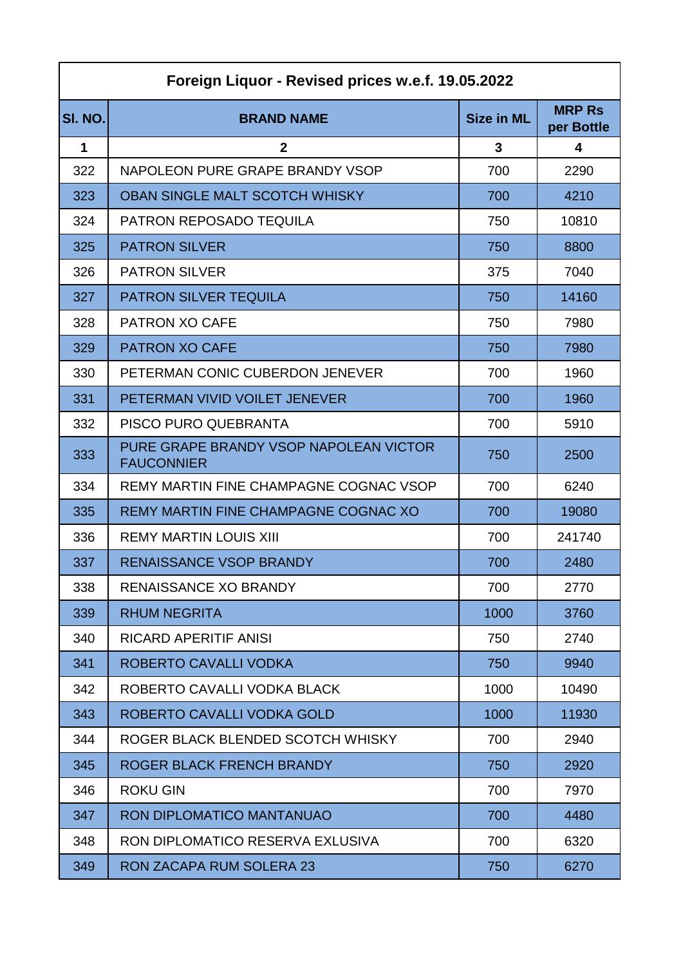| Foreign Liquor - Revised prices w.e.f. 19.05.2022 |                                                             |                   |                             |
|---------------------------------------------------|-------------------------------------------------------------|-------------------|-----------------------------|
| SI. NO.                                           | <b>BRAND NAME</b>                                           | <b>Size in ML</b> | <b>MRP Rs</b><br>per Bottle |
| 1                                                 | $\mathbf{2}$                                                | 3                 | 4                           |
| 322                                               | NAPOLEON PURE GRAPE BRANDY VSOP                             | 700               | 2290                        |
| 323                                               | <b>OBAN SINGLE MALT SCOTCH WHISKY</b>                       | 700               | 4210                        |
| 324                                               | <b>PATRON REPOSADO TEQUILA</b>                              | 750               | 10810                       |
| 325                                               | <b>PATRON SILVER</b>                                        | 750               | 8800                        |
| 326                                               | <b>PATRON SILVER</b>                                        | 375               | 7040                        |
| 327                                               | <b>PATRON SILVER TEQUILA</b>                                | 750               | 14160                       |
| 328                                               | <b>PATRON XO CAFE</b>                                       | 750               | 7980                        |
| 329                                               | <b>PATRON XO CAFE</b>                                       | 750               | 7980                        |
| 330                                               | PETERMAN CONIC CUBERDON JENEVER                             | 700               | 1960                        |
| 331                                               | PETERMAN VIVID VOILET JENEVER                               | 700               | 1960                        |
| 332                                               | PISCO PURO QUEBRANTA                                        | 700               | 5910                        |
| 333                                               | PURE GRAPE BRANDY VSOP NAPOLEAN VICTOR<br><b>FAUCONNIER</b> | 750               | 2500                        |
| 334                                               | REMY MARTIN FINE CHAMPAGNE COGNAC VSOP                      | 700               | 6240                        |
| 335                                               | REMY MARTIN FINE CHAMPAGNE COGNAC XO                        | 700               | 19080                       |
| 336                                               | <b>REMY MARTIN LOUIS XIII</b>                               | 700               | 241740                      |
| 337                                               | <b>RENAISSANCE VSOP BRANDY</b>                              | 700               | 2480                        |
| 338                                               | <b>RENAISSANCE XO BRANDY</b>                                | 700               | 2770                        |
| 339                                               | <b>RHUM NEGRITA</b>                                         | 1000              | 3760                        |
| 340                                               | <b>RICARD APERITIF ANISI</b>                                | 750               | 2740                        |
| 341                                               | ROBERTO CAVALLI VODKA                                       | 750               | 9940                        |
| 342                                               | ROBERTO CAVALLI VODKA BLACK                                 | 1000              | 10490                       |
| 343                                               | ROBERTO CAVALLI VODKA GOLD                                  | 1000              | 11930                       |
| 344                                               | ROGER BLACK BLENDED SCOTCH WHISKY                           | 700               | 2940                        |
| 345                                               | ROGER BLACK FRENCH BRANDY                                   | 750               | 2920                        |
| 346                                               | <b>ROKU GIN</b>                                             | 700               | 7970                        |
| 347                                               | RON DIPLOMATICO MANTANUAO                                   | 700               | 4480                        |
| 348                                               | RON DIPLOMATICO RESERVA EXLUSIVA                            | 700               | 6320                        |
| 349                                               | <b>RON ZACAPA RUM SOLERA 23</b>                             | 750               | 6270                        |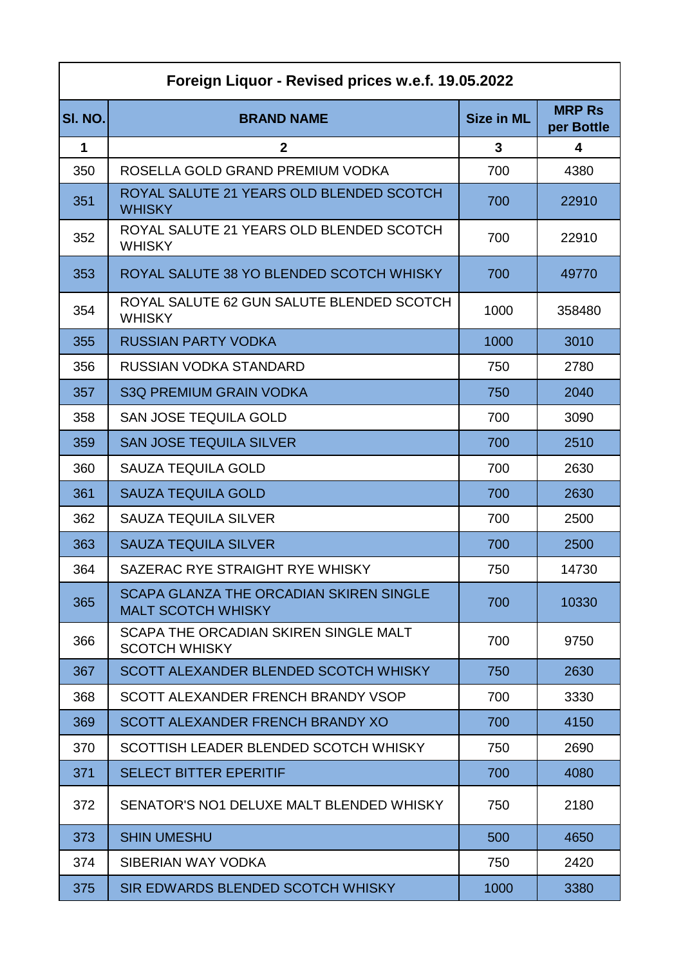| Foreign Liquor - Revised prices w.e.f. 19.05.2022 |                                                                             |                   |                             |
|---------------------------------------------------|-----------------------------------------------------------------------------|-------------------|-----------------------------|
| SI. NO.                                           | <b>BRAND NAME</b>                                                           | <b>Size in ML</b> | <b>MRP Rs</b><br>per Bottle |
| 1                                                 | $\mathbf{2}$                                                                | 3                 | 4                           |
| 350                                               | ROSELLA GOLD GRAND PREMIUM VODKA                                            | 700               | 4380                        |
| 351                                               | ROYAL SALUTE 21 YEARS OLD BLENDED SCOTCH<br><b>WHISKY</b>                   | 700               | 22910                       |
| 352                                               | ROYAL SALUTE 21 YEARS OLD BLENDED SCOTCH<br><b>WHISKY</b>                   | 700               | 22910                       |
| 353                                               | ROYAL SALUTE 38 YO BLENDED SCOTCH WHISKY                                    | 700               | 49770                       |
| 354                                               | ROYAL SALUTE 62 GUN SALUTE BLENDED SCOTCH<br><b>WHISKY</b>                  | 1000              | 358480                      |
| 355                                               | <b>RUSSIAN PARTY VODKA</b>                                                  | 1000              | 3010                        |
| 356                                               | RUSSIAN VODKA STANDARD                                                      | 750               | 2780                        |
| 357                                               | <b>S3Q PREMIUM GRAIN VODKA</b>                                              | 750               | 2040                        |
| 358                                               | <b>SAN JOSE TEQUILA GOLD</b>                                                | 700               | 3090                        |
| 359                                               | <b>SAN JOSE TEQUILA SILVER</b>                                              | 700               | 2510                        |
| 360                                               | <b>SAUZA TEQUILA GOLD</b>                                                   | 700               | 2630                        |
| 361                                               | <b>SAUZA TEQUILA GOLD</b>                                                   | 700               | 2630                        |
| 362                                               | <b>SAUZA TEQUILA SILVER</b>                                                 | 700               | 2500                        |
| 363                                               | <b>SAUZA TEQUILA SILVER</b>                                                 | 700               | 2500                        |
| 364                                               | SAZERAC RYE STRAIGHT RYE WHISKY                                             | 750               | 14730                       |
| 365                                               | <b>SCAPA GLANZA THE ORCADIAN SKIREN SINGLE</b><br><b>MALT SCOTCH WHISKY</b> | 700               | 10330                       |
| 366                                               | SCAPA THE ORCADIAN SKIREN SINGLE MALT<br><b>SCOTCH WHISKY</b>               | 700               | 9750                        |
| 367                                               | SCOTT ALEXANDER BLENDED SCOTCH WHISKY                                       | 750               | 2630                        |
| 368                                               | SCOTT ALEXANDER FRENCH BRANDY VSOP                                          | 700               | 3330                        |
| 369                                               | SCOTT ALEXANDER FRENCH BRANDY XO                                            | 700               | 4150                        |
| 370                                               | SCOTTISH LEADER BLENDED SCOTCH WHISKY                                       | 750               | 2690                        |
| 371                                               | <b>SELECT BITTER EPERITIF</b>                                               | 700               | 4080                        |
| 372                                               | SENATOR'S NO1 DELUXE MALT BLENDED WHISKY                                    | 750               | 2180                        |
| 373                                               | <b>SHIN UMESHU</b>                                                          | 500               | 4650                        |
| 374                                               | SIBERIAN WAY VODKA                                                          | 750               | 2420                        |
| 375                                               | SIR EDWARDS BLENDED SCOTCH WHISKY                                           | 1000              | 3380                        |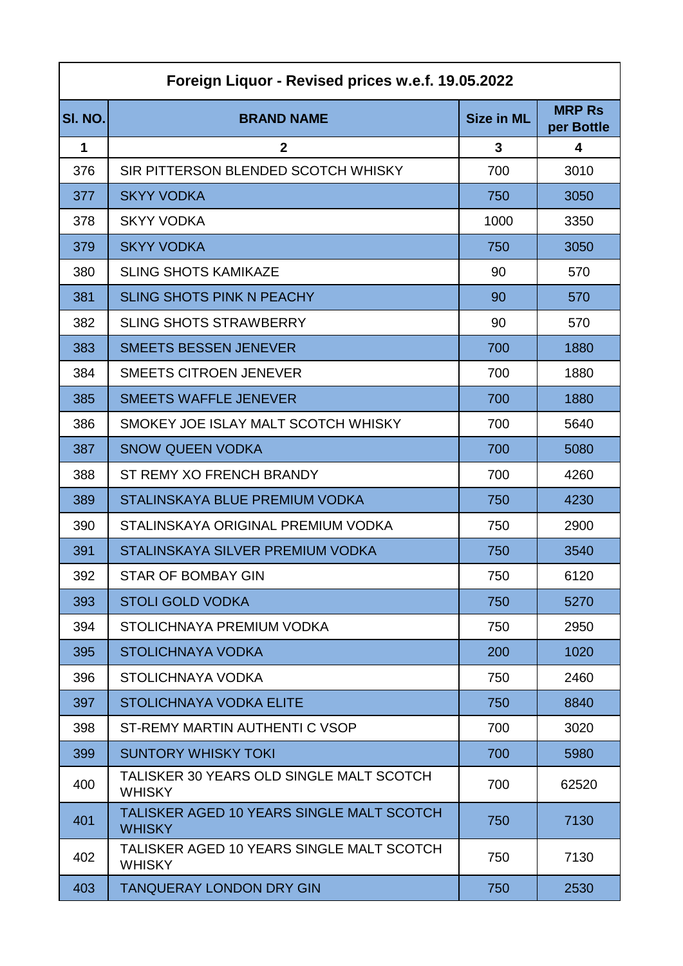| Foreign Liquor - Revised prices w.e.f. 19.05.2022 |                                                            |                   |                             |
|---------------------------------------------------|------------------------------------------------------------|-------------------|-----------------------------|
| SI. NO.                                           | <b>BRAND NAME</b>                                          | <b>Size in ML</b> | <b>MRP Rs</b><br>per Bottle |
| 1                                                 | $\mathbf{2}$                                               | 3                 | 4                           |
| 376                                               | SIR PITTERSON BLENDED SCOTCH WHISKY                        | 700               | 3010                        |
| 377                                               | <b>SKYY VODKA</b>                                          | 750               | 3050                        |
| 378                                               | <b>SKYY VODKA</b>                                          | 1000              | 3350                        |
| 379                                               | <b>SKYY VODKA</b>                                          | 750               | 3050                        |
| 380                                               | <b>SLING SHOTS KAMIKAZE</b>                                | 90                | 570                         |
| 381                                               | <b>SLING SHOTS PINK N PEACHY</b>                           | 90                | 570                         |
| 382                                               | <b>SLING SHOTS STRAWBERRY</b>                              | 90                | 570                         |
| 383                                               | <b>SMEETS BESSEN JENEVER</b>                               | 700               | 1880                        |
| 384                                               | <b>SMEETS CITROEN JENEVER</b>                              | 700               | 1880                        |
| 385                                               | <b>SMEETS WAFFLE JENEVER</b>                               | 700               | 1880                        |
| 386                                               | SMOKEY JOE ISLAY MALT SCOTCH WHISKY                        | 700               | 5640                        |
| 387                                               | <b>SNOW QUEEN VODKA</b>                                    | 700               | 5080                        |
| 388                                               | ST REMY XO FRENCH BRANDY                                   | 700               | 4260                        |
| 389                                               | STALINSKAYA BLUE PREMIUM VODKA                             | 750               | 4230                        |
| 390                                               | STALINSKAYA ORIGINAL PREMIUM VODKA                         | 750               | 2900                        |
| 391                                               | STALINSKAYA SILVER PREMIUM VODKA                           | 750               | 3540                        |
| 392                                               | STAR OF BOMBAY GIN                                         | 750               | 6120                        |
| 393                                               | <b>STOLI GOLD VODKA</b>                                    | 750               | 5270                        |
| 394                                               | STOLICHNAYA PREMIUM VODKA                                  | 750               | 2950                        |
| 395                                               | <b>STOLICHNAYA VODKA</b>                                   | 200               | 1020                        |
| 396                                               | <b>STOLICHNAYA VODKA</b>                                   | 750               | 2460                        |
| 397                                               | STOLICHNAYA VODKA ELITE                                    | 750               | 8840                        |
| 398                                               | ST-REMY MARTIN AUTHENTI C VSOP                             | 700               | 3020                        |
| 399                                               | <b>SUNTORY WHISKY TOKI</b>                                 | 700               | 5980                        |
| 400                                               | TALISKER 30 YEARS OLD SINGLE MALT SCOTCH<br><b>WHISKY</b>  | 700               | 62520                       |
| 401                                               | TALISKER AGED 10 YEARS SINGLE MALT SCOTCH<br><b>WHISKY</b> | 750               | 7130                        |
| 402                                               | TALISKER AGED 10 YEARS SINGLE MALT SCOTCH<br><b>WHISKY</b> | 750               | 7130                        |
| 403                                               | <b>TANQUERAY LONDON DRY GIN</b>                            | 750               | 2530                        |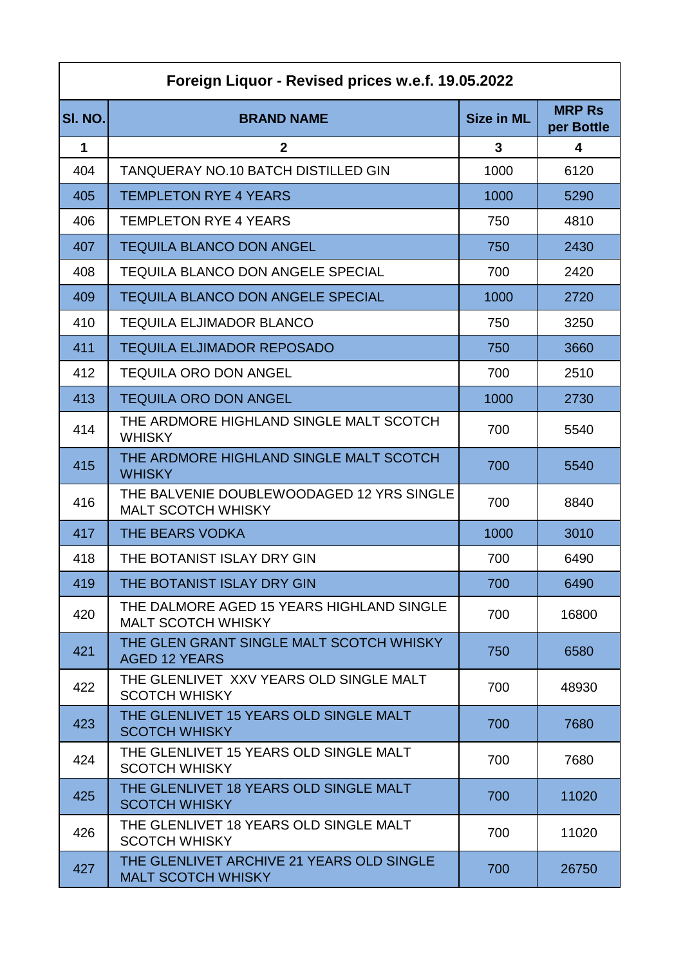| Foreign Liquor - Revised prices w.e.f. 19.05.2022 |                                                                        |                   |                             |
|---------------------------------------------------|------------------------------------------------------------------------|-------------------|-----------------------------|
| SI. NO.                                           | <b>BRAND NAME</b>                                                      | <b>Size in ML</b> | <b>MRP Rs</b><br>per Bottle |
| 1                                                 | $\mathbf{2}$                                                           | 3                 | 4                           |
| 404                                               | <b>TANQUERAY NO.10 BATCH DISTILLED GIN</b>                             | 1000              | 6120                        |
| 405                                               | <b>TEMPLETON RYE 4 YEARS</b>                                           | 1000              | 5290                        |
| 406                                               | <b>TEMPLETON RYE 4 YEARS</b>                                           | 750               | 4810                        |
| 407                                               | <b>TEQUILA BLANCO DON ANGEL</b>                                        | 750               | 2430                        |
| 408                                               | <b>TEQUILA BLANCO DON ANGELE SPECIAL</b>                               | 700               | 2420                        |
| 409                                               | <b>TEQUILA BLANCO DON ANGELE SPECIAL</b>                               | 1000              | 2720                        |
| 410                                               | <b>TEQUILA ELJIMADOR BLANCO</b>                                        | 750               | 3250                        |
| 411                                               | <b>TEQUILA ELJIMADOR REPOSADO</b>                                      | 750               | 3660                        |
| 412                                               | <b>TEQUILA ORO DON ANGEL</b>                                           | 700               | 2510                        |
| 413                                               | <b>TEQUILA ORO DON ANGEL</b>                                           | 1000              | 2730                        |
| 414                                               | THE ARDMORE HIGHLAND SINGLE MALT SCOTCH<br><b>WHISKY</b>               | 700               | 5540                        |
| 415                                               | THE ARDMORE HIGHLAND SINGLE MALT SCOTCH<br><b>WHISKY</b>               | 700               | 5540                        |
| 416                                               | THE BALVENIE DOUBLEWOODAGED 12 YRS SINGLE<br><b>MALT SCOTCH WHISKY</b> | 700               | 8840                        |
| 417                                               | THE BEARS VODKA                                                        | 1000              | 3010                        |
| 418                                               | THE BOTANIST ISLAY DRY GIN                                             | 700               | 6490                        |
| 419                                               | THE BOTANIST ISLAY DRY GIN                                             | 700               | 6490                        |
| 420                                               | THE DALMORE AGED 15 YEARS HIGHLAND SINGLE<br><b>MALT SCOTCH WHISKY</b> | 700               | 16800                       |
| 421                                               | THE GLEN GRANT SINGLE MALT SCOTCH WHISKY<br><b>AGED 12 YEARS</b>       | 750               | 6580                        |
| 422                                               | THE GLENLIVET XXV YEARS OLD SINGLE MALT<br><b>SCOTCH WHISKY</b>        | 700               | 48930                       |
| 423                                               | THE GLENLIVET 15 YEARS OLD SINGLE MALT<br><b>SCOTCH WHISKY</b>         | 700               | 7680                        |
| 424                                               | THE GLENLIVET 15 YEARS OLD SINGLE MALT<br><b>SCOTCH WHISKY</b>         | 700               | 7680                        |
| 425                                               | THE GLENLIVET 18 YEARS OLD SINGLE MALT<br><b>SCOTCH WHISKY</b>         | 700               | 11020                       |
| 426                                               | THE GLENLIVET 18 YEARS OLD SINGLE MALT<br><b>SCOTCH WHISKY</b>         | 700               | 11020                       |
| 427                                               | THE GLENLIVET ARCHIVE 21 YEARS OLD SINGLE<br><b>MALT SCOTCH WHISKY</b> | 700               | 26750                       |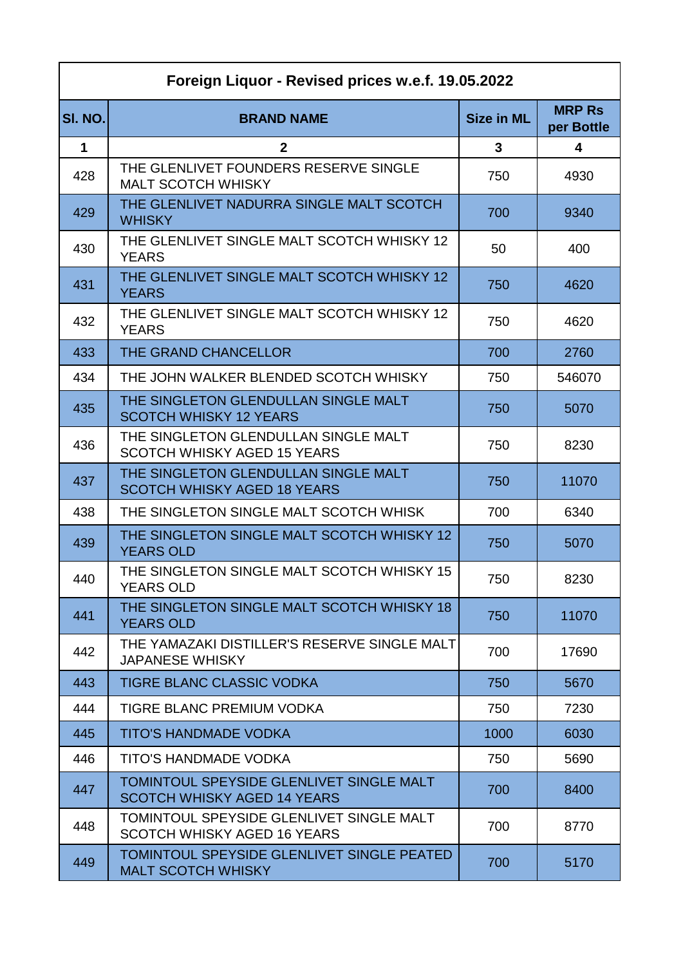| Foreign Liquor - Revised prices w.e.f. 19.05.2022 |                                                                                |                   |                             |
|---------------------------------------------------|--------------------------------------------------------------------------------|-------------------|-----------------------------|
| SI. NO.                                           | <b>BRAND NAME</b>                                                              | <b>Size in ML</b> | <b>MRP Rs</b><br>per Bottle |
| $\mathbf 1$                                       | $\mathbf{2}$                                                                   | 3                 | $\overline{\mathbf{4}}$     |
| 428                                               | THE GLENLIVET FOUNDERS RESERVE SINGLE<br><b>MALT SCOTCH WHISKY</b>             | 750               | 4930                        |
| 429                                               | THE GLENLIVET NADURRA SINGLE MALT SCOTCH<br><b>WHISKY</b>                      | 700               | 9340                        |
| 430                                               | THE GLENLIVET SINGLE MALT SCOTCH WHISKY 12<br><b>YEARS</b>                     | 50                | 400                         |
| 431                                               | THE GLENLIVET SINGLE MALT SCOTCH WHISKY 12<br><b>YEARS</b>                     | 750               | 4620                        |
| 432                                               | THE GLENLIVET SINGLE MALT SCOTCH WHISKY 12<br><b>YEARS</b>                     | 750               | 4620                        |
| 433                                               | THE GRAND CHANCELLOR                                                           | 700               | 2760                        |
| 434                                               | THE JOHN WALKER BLENDED SCOTCH WHISKY                                          | 750               | 546070                      |
| 435                                               | THE SINGLETON GLENDULLAN SINGLE MALT<br><b>SCOTCH WHISKY 12 YEARS</b>          | 750               | 5070                        |
| 436                                               | THE SINGLETON GLENDULLAN SINGLE MALT<br><b>SCOTCH WHISKY AGED 15 YEARS</b>     | 750               | 8230                        |
| 437                                               | THE SINGLETON GLENDULLAN SINGLE MALT<br><b>SCOTCH WHISKY AGED 18 YEARS</b>     | 750               | 11070                       |
| 438                                               | THE SINGLETON SINGLE MALT SCOTCH WHISK                                         | 700               | 6340                        |
| 439                                               | THE SINGLETON SINGLE MALT SCOTCH WHISKY 12<br><b>YEARS OLD</b>                 | 750               | 5070                        |
| 440                                               | THE SINGLETON SINGLE MALT SCOTCH WHISKY 15<br><b>YEARS OLD</b>                 | 750               | 8230                        |
| 441                                               | THE SINGLETON SINGLE MALT SCOTCH WHISKY 18<br><b>YEARS OLD</b>                 | 750               | 11070                       |
| 442                                               | THE YAMAZAKI DISTILLER'S RESERVE SINGLE MALT<br><b>JAPANESE WHISKY</b>         | 700               | 17690                       |
| 443                                               | <b>TIGRE BLANC CLASSIC VODKA</b>                                               | 750               | 5670                        |
| 444                                               | TIGRE BLANC PREMIUM VODKA                                                      | 750               | 7230                        |
| 445                                               | <b>TITO'S HANDMADE VODKA</b>                                                   | 1000              | 6030                        |
| 446                                               | <b>TITO'S HANDMADE VODKA</b>                                                   | 750               | 5690                        |
| 447                                               | TOMINTOUL SPEYSIDE GLENLIVET SINGLE MALT<br><b>SCOTCH WHISKY AGED 14 YEARS</b> | 700               | 8400                        |
| 448                                               | TOMINTOUL SPEYSIDE GLENLIVET SINGLE MALT<br><b>SCOTCH WHISKY AGED 16 YEARS</b> | 700               | 8770                        |
| 449                                               | TOMINTOUL SPEYSIDE GLENLIVET SINGLE PEATED<br><b>MALT SCOTCH WHISKY</b>        | 700               | 5170                        |